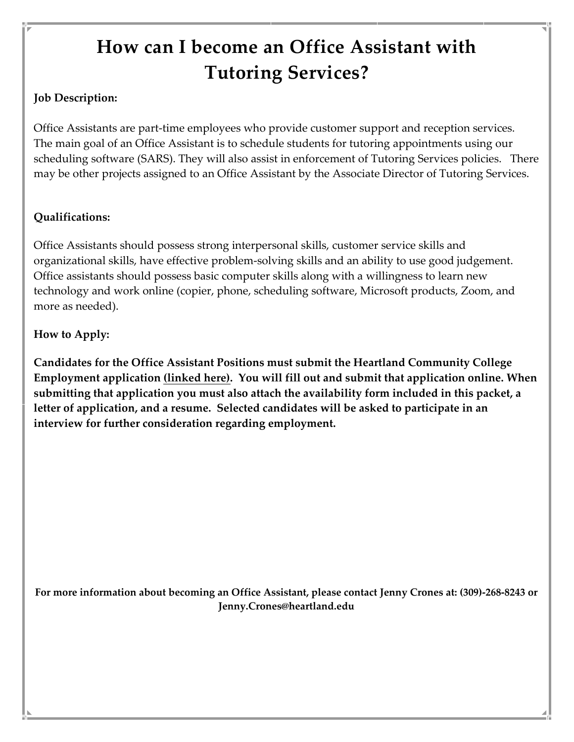# **How can I become an Office Assistant with Tutoring Services?**

### **Job Description:**

Office Assistants are part-time employees who provide customer support and reception services. The main goal of an Office Assistant is to schedule students for tutoring appointments using our scheduling software (SARS). They will also assist in enforcement of Tutoring Services policies. There may be other projects assigned to an Office Assistant by the Associate Director of Tutoring Services.

#### **Qualifications:**

Office Assistants should possess strong interpersonal skills, customer service skills and organizational skills, have effective problem-solving skills and an ability to use good judgement. Office assistants should possess basic computer skills along with a willingness to learn new technology and work online (copier, phone, scheduling software, Microsoft products, Zoom, and more as needed).

#### **How to Apply:**

**Candidates for the Office Assistant Positions must submit the Heartland Community College Employment application [\(linked here\).](https://www.schooljobs.com/careers/heartland/jobs/3011594/employment-application) You will fill out and submit that application online. When submitting that application you must also attach the availability form included in this packet, a letter of application, and a resume. Selected candidates will be asked to participate in an interview for further consideration regarding employment.**

**For more information about becoming an Office Assistant, please contact Jenny Crones at: (309)-268-8243 or Jenny.Crones@heartland.edu**